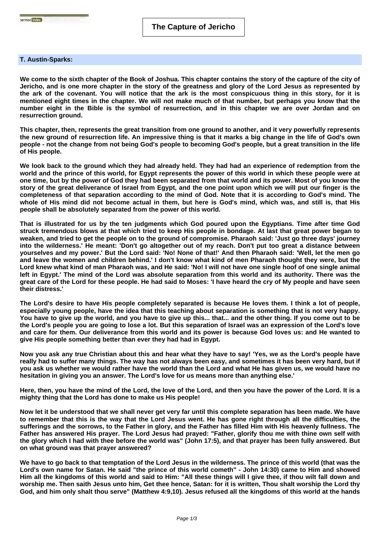## **T. Austin-Sparks:**

**We come to the sixth chapter of the Book of Joshua. This chapter contains the story of the capture of the city of Jericho, and is one more chapter in the story of the greatness and glory of the Lord Jesus as represented by the ark of the covenant. You will notice that the ark is the most conspicuous thing in this story, for it is mentioned eight times in the chapter. We will not make much of that number, but perhaps you know that the number eight in the Bible is the symbol of resurrection, and in this chapter we are over Jordan and on resurrection ground.**

**This chapter, then, represents the great transition from one ground to another, and it very powerfully represents the new ground of resurrection life. An impressive thing is that it marks a big change in the life of God's own people - not the change from not being God's people to becoming God's people, but a great transition in the life of His people.**

**We look back to the ground which they had already held. They had had an experience of redemption from the world and the prince of this world, for Egypt represents the power of this world in which these people were at one time, but by the power of God they had been separated from that world and its power. Most of you know the story of the great deliverance of Israel from Egypt, and the one point upon which we will put our finger is the completeness of that separation according to the mind of God. Note that it is according to God's mind. The whole of His mind did not become actual in them, but here is God's mind, which was, and still is, that His people shall be absolutely separated from the power of this world.**

**That is illustrated for us by the ten judgments which God poured upon the Egyptians. Time after time God struck tremendous blows at that which tried to keep His people in bondage. At last that great power began to weaken, and tried to get the people on to the ground of compromise. Pharaoh said: 'Just go three days' journey into the wilderness.' He meant: 'Don't go altogether out of my reach. Don't put too great a distance between yourselves and my power.' But the Lord said: 'No! None of that!' And then Pharaoh said: 'Well, let the men go and leave the women and children behind.' I don't know what kind of men Pharaoh thought they were, but the Lord knew what kind of man Pharaoh was, and He said: 'No! I will not have one single hoof of one single animal left in Egypt.' The mind of the Lord was absolute separation from this world and its authority. There was the great care of the Lord for these people. He had said to Moses: 'I have heard the cry of My people and have seen their distress.'**

**The Lord's desire to have His people completely separated is because He loves them. I think a lot of people, especially young people, have the idea that this teaching about separation is something that is not very happy. You have to give up the world, and you have to give up this... that... and the other thing. If you come out to be the Lord's people you are going to lose a lot. But this separation of Israel was an expression of the Lord's love and care for them. Our deliverance from this world and its power is because God loves us: and He wanted to give His people something better than ever they had had in Egypt.**

**Now you ask any true Christian about this and hear what they have to say! 'Yes, we as the Lord's people have really had to suffer many things. The way has not always been easy, and sometimes it has been very hard, but if you ask us whether we would rather have the world than the Lord and what He has given us, we would have no hesitation in giving you an answer. The Lord's love for us means more than anything else.'**

**Here, then, you have the mind of the Lord, the love of the Lord, and then you have the power of the Lord. It is a mighty thing that the Lord has done to make us His people!**

**Now let it be understood that we shall never get very far until this complete separation has been made. We have to remember that this is the way that the Lord Jesus went. He has gone right through all the difficulties, the sufferings and the sorrows, to the Father in glory, and the Father has filled Him with His heavenly fullness. The Father has answered His prayer. The Lord Jesus had prayed: "Father, glorify thou me with thine own self with the glory which I had with thee before the world was" (John 17:5), and that prayer has been fully answered. But on what ground was that prayer answered?**

**We have to go back to that temptation of the Lord Jesus in the wilderness. The prince of this world (that was the Lord's own name for Satan. He said "the prince of this world cometh" - John 14:30) came to Him and showed Him all the kingdoms of this world and said to Him: "All these things will I give thee, if thou wilt fall down and worship me. Then saith Jesus unto him, Get thee hence, Satan: for it is written, Thou shalt worship the Lord thy God, and him only shalt thou serve" (Matthew 4:9,10). Jesus refused all the kingdoms of this world at the hands**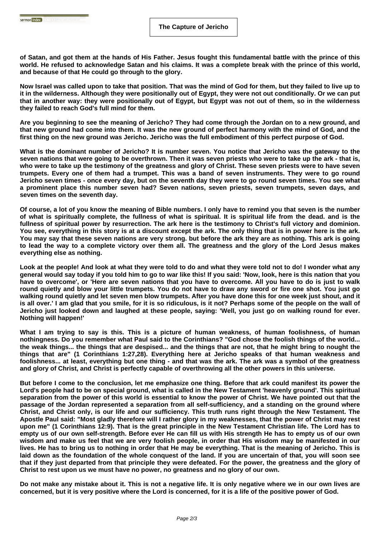Sermon index **Exercise Company** 

**of Satan, and got them at the hands of His Father. Jesus fought this fundamental battle with the prince of this world. He refused to acknowledge Satan and his claims. It was a complete break with the prince of this world, and because of that He could go through to the glory.**

**Now Israel was called upon to take that position. That was the mind of God for them, but they failed to live up to it in the wilderness. Although they were positionally out of Egypt, they were not out conditionally. Or we can put that in another way: they were positionally out of Egypt, but Egypt was not out of them, so in the wilderness they failed to reach God's full mind for them.**

**Are you beginning to see the meaning of Jericho? They had come through the Jordan on to a new ground, and that new ground had come into them. It was the new ground of perfect harmony with the mind of God, and the first thing on the new ground was Jericho. Jericho was the full embodiment of this perfect purpose of God.**

**What is the dominant number of Jericho? It is number seven. You notice that Jericho was the gateway to the seven nations that were going to be overthrown. Then it was seven priests who were to take up the ark - that is, who were to take up the testimony of the greatness and glory of Christ. These seven priests were to have seven trumpets. Every one of them had a trumpet. This was a band of seven instruments. They were to go round Jericho seven times - once every day, but on the seventh day they were to go round seven times. You see what a prominent place this number seven had? Seven nations, seven priests, seven trumpets, seven days, and seven times on the seventh day.**

**Of course, a lot of you know the meaning of Bible numbers. I only have to remind you that seven is the number of what is spiritually complete, the fullness of what is spiritual. It is spiritual life from the dead. and is the fullness of spiritual power by resurrection. The ark here is the testimony to Christ's full victory and dominion. You see, everything in this story is at a discount except the ark. The only thing that is in power here is the ark. You may say that these seven nations are very strong. but before the ark they are as nothing. This ark is going to lead the way to a complete victory over them all. The greatness and the glory of the Lord Jesus makes everything else as nothing.**

**Look at the people! And look at what they were told to do and what they were told not to do! I wonder what any general would say today if you told him to go to war like this! If you said: 'Now, look, here is this nation that you have to overcome', or 'Here are seven nations that you have to overcome. All you have to do is just to walk round quietly and blow your little trumpets. You do not have to draw any sword or fire one shot. You just go walking round quietly and let seven men blow trumpets. After you have done this for one week just shout, and it is all over.' I am glad that you smile, for it is so ridiculous, is it not? Perhaps some of the people on the wall of Jericho just looked down and laughed at these people, saying: 'Well, you just go on walking round for ever. Nothing will happen!'**

**What I am trying to say is this. This is a picture of human weakness, of human foolishness, of human nothingness. Do you remember what Paul said to the Corinthians? "God chose the foolish things of the world... the weak things... the things that are despised... and the things that are not, that he might bring to nought the things that are" (1 Corinthians 1:27,28). Everything here at Jericho speaks of that human weakness and foolishness... at least, everything but one thing - and that was the ark. The ark was a symbol of the greatness and glory of Christ, and Christ is perfectly capable of overthrowing all the other powers in this universe.**

**But before I come to the conclusion, let me emphasize one thing. Before that ark could manifest its power the Lord's people had to be on special ground, what is called in the New Testament 'heavenly ground'. This spiritual separation from the power of this world is essential to know the power of Christ. We have pointed out that the passage of the Jordan represented a separation from all self-sufficiency, and a standing on the ground where Christ, and Christ only, is our life and our sufficiency. This truth runs right through the New Testament. The Apostle Paul said: "Most gladly therefore will I rather glory in my weaknesses, that the power of Christ may rest upon me" (1 Corinthians 12:9). That is the great principle in the New Testament Christian life. The Lord has to empty us of our own self-strength. Before ever He can fill us with His strength He has to empty us of our own wisdom and make us feel that we are very foolish people, in order that His wisdom may be manifested in our lives. He has to bring us to nothing in order that He may be everything. That is the meaning of Jericho. This is laid down as the foundation of the whole conquest of the land. If you are uncertain of that, you will soon see that if they just departed from that principle they were defeated. For the power, the greatness and the glory of Christ to rest upon us we must have no power, no greatness and no glory of our own.**

**Do not make any mistake about it. This is not a negative life. It is only negative where we in our own lives are concerned, but it is very positive where the Lord is concerned, for it is a life of the positive power of God.**